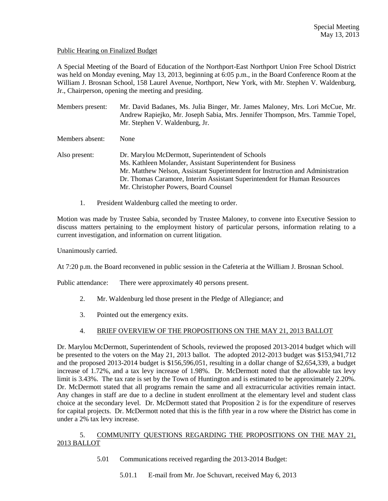#### Public Hearing on Finalized Budget

A Special Meeting of the Board of Education of the Northport-East Northport Union Free School District was held on Monday evening, May 13, 2013, beginning at 6:05 p.m., in the Board Conference Room at the William J. Brosnan School, 158 Laurel Avenue, Northport, New York, with Mr. Stephen V. Waldenburg, Jr., Chairperson, opening the meeting and presiding.

Members present: Mr. David Badanes, Ms. Julia Binger, Mr. James Maloney, Mrs. Lori McCue, Mr. Andrew Rapiejko, Mr. Joseph Sabia, Mrs. Jennifer Thompson, Mrs. Tammie Topel, Mr. Stephen V. Waldenburg, Jr. Members absent: None Also present: Dr. Marylou McDermott, Superintendent of Schools Ms. Kathleen Molander, Assistant Superintendent for Business Mr. Matthew Nelson, Assistant Superintendent for Instruction and Administration Dr. Thomas Caramore, Interim Assistant Superintendent for Human Resources Mr. Christopher Powers, Board Counsel

1. President Waldenburg called the meeting to order.

Motion was made by Trustee Sabia, seconded by Trustee Maloney, to convene into Executive Session to discuss matters pertaining to the employment history of particular persons, information relating to a current investigation, and information on current litigation.

Unanimously carried.

At 7:20 p.m. the Board reconvened in public session in the Cafeteria at the William J. Brosnan School.

Public attendance: There were approximately 40 persons present.

- 2. Mr. Waldenburg led those present in the Pledge of Allegiance; and
- 3. Pointed out the emergency exits.

## 4. BRIEF OVERVIEW OF THE PROPOSITIONS ON THE MAY 21, 2013 BALLOT

Dr. Marylou McDermott, Superintendent of Schools, reviewed the proposed 2013-2014 budget which will be presented to the voters on the May 21, 2013 ballot. The adopted 2012-2013 budget was \$153,941,712 and the proposed 2013-2014 budget is \$156,596,051, resulting in a dollar change of \$2,654,339, a budget increase of 1.72%, and a tax levy increase of 1.98%. Dr. McDermott noted that the allowable tax levy limit is 3.43%. The tax rate is set by the Town of Huntington and is estimated to be approximately 2.20%. Dr. McDermott stated that all programs remain the same and all extracurricular activities remain intact. Any changes in staff are due to a decline in student enrollment at the elementary level and student class choice at the secondary level. Dr. McDermott stated that Proposition 2 is for the expenditure of reserves for capital projects. Dr. McDermott noted that this is the fifth year in a row where the District has come in under a 2% tax levy increase.

## 5. COMMUNITY QUESTIONS REGARDING THE PROPOSITIONS ON THE MAY 21, 2013 BALLOT

5.01 Communications received regarding the 2013-2014 Budget:

5.01.1 E-mail from Mr. Joe Schuvart, received May 6, 2013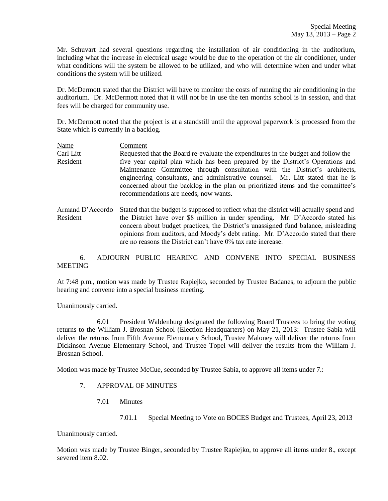Mr. Schuvart had several questions regarding the installation of air conditioning in the auditorium, including what the increase in electrical usage would be due to the operation of the air conditioner, under what conditions will the system be allowed to be utilized, and who will determine when and under what conditions the system will be utilized.

Dr. McDermott stated that the District will have to monitor the costs of running the air conditioning in the auditorium. Dr. McDermott noted that it will not be in use the ten months school is in session, and that fees will be charged for community use.

Dr. McDermott noted that the project is at a standstill until the approval paperwork is processed from the State which is currently in a backlog.

Name Comment Carl Litt Requested that the Board re-evaluate the expenditures in the budget and follow the Resident five year capital plan which has been prepared by the District's Operations and Maintenance Committee through consultation with the District's architects, engineering consultants, and administrative counsel. Mr. Litt stated that he is concerned about the backlog in the plan on prioritized items and the committee's recommendations are needs, now wants.

Armand D'Accordo Stated that the budget is supposed to reflect what the district will actually spend and Resident the District have over \$8 million in under spending. Mr. D'Accordo stated his concern about budget practices, the District's unassigned fund balance, misleading opinions from auditors, and Moody's debt rating. Mr. D'Accordo stated that there are no reasons the District can't have 0% tax rate increase.

# 6. ADJOURN PUBLIC HEARING AND CONVENE INTO SPECIAL BUSINESS **MEETING**

At 7:48 p.m., motion was made by Trustee Rapiejko, seconded by Trustee Badanes, to adjourn the public hearing and convene into a special business meeting.

Unanimously carried.

6.01 President Waldenburg designated the following Board Trustees to bring the voting returns to the William J. Brosnan School (Election Headquarters) on May 21, 2013: Trustee Sabia will deliver the returns from Fifth Avenue Elementary School, Trustee Maloney will deliver the returns from Dickinson Avenue Elementary School, and Trustee Topel will deliver the results from the William J. Brosnan School.

Motion was made by Trustee McCue, seconded by Trustee Sabia, to approve all items under 7.:

## 7. APPROVAL OF MINUTES

- 7.01 Minutes
	- 7.01.1 Special Meeting to Vote on BOCES Budget and Trustees, April 23, 2013

Unanimously carried.

Motion was made by Trustee Binger, seconded by Trustee Rapiejko, to approve all items under 8., except severed item 8.02.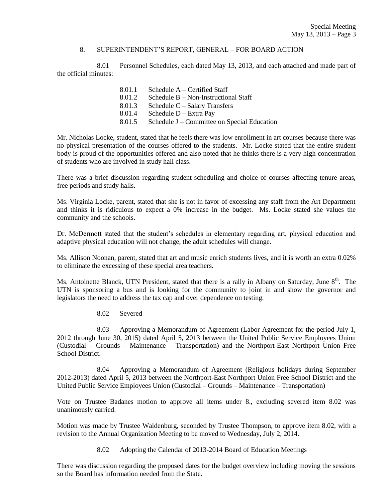#### 8. SUPERINTENDENT'S REPORT, GENERAL – FOR BOARD ACTION

8.01 Personnel Schedules, each dated May 13, 2013, and each attached and made part of the official minutes:

> 8.01.1 Schedule A – Certified Staff 8.01.2 Schedule B – Non-Instructional Staff 8.01.3 Schedule C – Salary Transfers 8.01.4 Schedule D – Extra Pay 8.01.5 Schedule J – Committee on Special Education

Mr. Nicholas Locke, student, stated that he feels there was low enrollment in art courses because there was no physical presentation of the courses offered to the students. Mr. Locke stated that the entire student body is proud of the opportunities offered and also noted that he thinks there is a very high concentration of students who are involved in study hall class.

There was a brief discussion regarding student scheduling and choice of courses affecting tenure areas, free periods and study halls.

Ms. Virginia Locke, parent, stated that she is not in favor of excessing any staff from the Art Department and thinks it is ridiculous to expect a 0% increase in the budget. Ms. Locke stated she values the community and the schools.

Dr. McDermott stated that the student's schedules in elementary regarding art, physical education and adaptive physical education will not change, the adult schedules will change.

Ms. Allison Noonan, parent, stated that art and music enrich students lives, and it is worth an extra 0.02% to eliminate the excessing of these special area teachers.

Ms. Antoinette Blanck, UTN President, stated that there is a rally in Albany on Saturday, June  $8<sup>th</sup>$ . The UTN is sponsoring a bus and is looking for the community to joint in and show the governor and legislators the need to address the tax cap and over dependence on testing.

8.02 Severed

8.03 Approving a Memorandum of Agreement (Labor Agreement for the period July 1, 2012 through June 30, 2015) dated April 5, 2013 between the United Public Service Employees Union (Custodial – Grounds – Maintenance – Transportation) and the Northport-East Northport Union Free School District.

8.04 Approving a Memorandum of Agreement (Religious holidays during September 2012-2013) dated April 5, 2013 between the Northport-East Northport Union Free School District and the United Public Service Employees Union (Custodial – Grounds – Maintenance – Transportation)

Vote on Trustee Badanes motion to approve all items under 8., excluding severed item 8.02 was unanimously carried.

Motion was made by Trustee Waldenburg, seconded by Trustee Thompson, to approve item 8.02, with a revision to the Annual Organization Meeting to be moved to Wednesday, July 2, 2014.

8.02 Adopting the Calendar of 2013-2014 Board of Education Meetings

There was discussion regarding the proposed dates for the budget overview including moving the sessions so the Board has information needed from the State.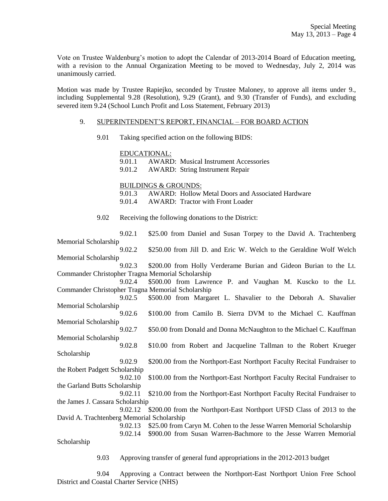Vote on Trustee Waldenburg's motion to adopt the Calendar of 2013-2014 Board of Education meeting, with a revision to the Annual Organization Meeting to be moved to Wednesday, July 2, 2014 was unanimously carried.

Motion was made by Trustee Rapiejko, seconded by Trustee Maloney, to approve all items under 9., including Supplemental 9.28 (Resolution), 9.29 (Grant), and 9.30 (Transfer of Funds), and excluding severed item 9.24 (School Lunch Profit and Loss Statement, February 2013)

#### 9. SUPERINTENDENT'S REPORT, FINANCIAL – FOR BOARD ACTION

9.01 Taking specified action on the following BIDS:

EDUCATIONAL:

9.01.1 AWARD: Musical Instrument Accessories

9.01.2 AWARD: String Instrument Repair

#### BUILDINGS & GROUNDS:

9.01.3 AWARD: Hollow Metal Doors and Associated Hardware

9.01.4 AWARD: Tractor with Front Loader

9.02 Receiving the following donations to the District:

9.02.1 \$25.00 from Daniel and Susan Torpey to the David A. Trachtenberg Memorial Scholarship 9.02.2 \$250.00 from Jill D. and Eric W. Welch to the Geraldine Wolf Welch Memorial Scholarship 9.02.3 \$200.00 from Holly Verderame Burian and Gideon Burian to the Lt. Commander Christopher Tragna Memorial Scholarship 9.02.4 \$500.00 from Lawrence P. and Vaughan M. Kuscko to the Lt. Commander Christopher Tragna Memorial Scholarship 9.02.5 \$500.00 from Margaret L. Shavalier to the Deborah A. Shavalier Memorial Scholarship 9.02.6 \$100.00 from Camilo B. Sierra DVM to the Michael C. Kauffman Memorial Scholarship 9.02.7 \$50.00 from Donald and Donna McNaughton to the Michael C. Kauffman Memorial Scholarship 9.02.8 \$10.00 from Robert and Jacqueline Tallman to the Robert Krueger Scholarship 9.02.9 \$200.00 from the Northport-East Northport Faculty Recital Fundraiser to the Robert Padgett Scholarship 9.02.10 \$100.00 from the Northport-East Northport Faculty Recital Fundraiser to the Garland Butts Scholarship 9.02.11 \$210.00 from the Northport-East Northport Faculty Recital Fundraiser to the James J. Cassara Scholarship 9.02.12 \$200.00 from the Northport-East Northport UFSD Class of 2013 to the David A. Trachtenberg Memorial Scholarship 9.02.13 \$25.00 from Caryn M. Cohen to the Jesse Warren Memorial Scholarship 9.02.14 \$900.00 from Susan Warren-Bachmore to the Jesse Warren Memorial Scholarship

9.03 Approving transfer of general fund appropriations in the 2012-2013 budget

9.04 Approving a Contract between the Northport-East Northport Union Free School District and Coastal Charter Service (NHS)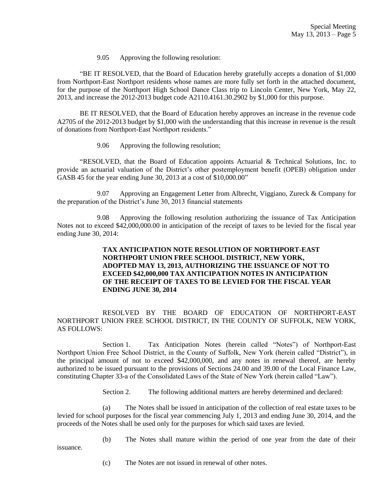9.05 Approving the following resolution:

"BE IT RESOLVED, that the Board of Education hereby gratefully accepts a donation of \$1,000 from Northport-East Northport residents whose names are more fully set forth in the attached document, for the purpose of the Northport High School Dance Class trip to Lincoln Center, New York, May 22, 2013, and increase the 2012-2013 budget code A2110.4161.30.2902 by \$1,000 for this purpose.

BE IT RESOLVED, that the Board of Education hereby approves an increase in the revenue code A2705 of the 2012-2013 budget by \$1,000 with the understanding that this increase in revenue is the result of donations from Northport-East Northport residents."

9.06 Approving the following resolution;

"RESOLVED, that the Board of Education appoints Actuarial & Technical Solutions, Inc. to provide an actuarial valuation of the District's other postemployment benefit (OPEB) obligation under GASB 45 for the year ending June 30, 2013 at a cost of \$10,000.00"

9.07 Approving an Engagement Letter from Albrecht, Viggiano, Zureck & Company for the preparation of the District's June 30, 2013 financial statements

9.08 Approving the following resolution authorizing the issuance of Tax Anticipation Notes not to exceed \$42,000,000.00 in anticipation of the receipt of taxes to be levied for the fiscal year ending June 30, 2014:

# **TAX ANTICIPATION NOTE RESOLUTION OF NORTHPORT-EAST NORTHPORT UNION FREE SCHOOL DISTRICT, NEW YORK, ADOPTED MAY 13, 2013, AUTHORIZING THE ISSUANCE OF NOT TO EXCEED \$42,000,000 TAX ANTICIPATION NOTES IN ANTICIPATION OF THE RECEIPT OF TAXES TO BE LEVIED FOR THE FISCAL YEAR ENDING JUNE 30, 2014**

RESOLVED BY THE BOARD OF EDUCATION OF NORTHPORT-EAST NORTHPORT UNION FREE SCHOOL DISTRICT, IN THE COUNTY OF SUFFOLK, NEW YORK, AS FOLLOWS:

Section 1. Tax Anticipation Notes (herein called "Notes") of Northport-East Northport Union Free School District, in the County of Suffolk, New York (herein called "District"), in the principal amount of not to exceed \$42,000,000, and any notes in renewal thereof, are hereby authorized to be issued pursuant to the provisions of Sections 24.00 and 39.00 of the Local Finance Law, constituting Chapter 33-a of the Consolidated Laws of the State of New York (herein called "Law").

Section 2. The following additional matters are hereby determined and declared:

(a) The Notes shall be issued in anticipation of the collection of real estate taxes to be levied for school purposes for the fiscal year commencing July 1, 2013 and ending June 30, 2014, and the proceeds of the Notes shall be used only for the purposes for which said taxes are levied.

(b) The Notes shall mature within the period of one year from the date of their

(c) The Notes are not issued in renewal of other notes.

issuance.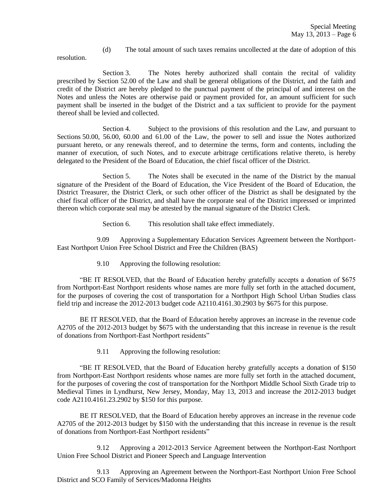(d) The total amount of such taxes remains uncollected at the date of adoption of this

resolution.

Section 3. The Notes hereby authorized shall contain the recital of validity prescribed by Section 52.00 of the Law and shall be general obligations of the District, and the faith and credit of the District are hereby pledged to the punctual payment of the principal of and interest on the Notes and unless the Notes are otherwise paid or payment provided for, an amount sufficient for such payment shall be inserted in the budget of the District and a tax sufficient to provide for the payment thereof shall be levied and collected.

Section 4. Subject to the provisions of this resolution and the Law, and pursuant to Sections 50.00, 56.00, 60.00 and 61.00 of the Law, the power to sell and issue the Notes authorized pursuant hereto, or any renewals thereof, and to determine the terms, form and contents, including the manner of execution, of such Notes, and to execute arbitrage certifications relative thereto, is hereby delegated to the President of the Board of Education, the chief fiscal officer of the District.

Section 5. The Notes shall be executed in the name of the District by the manual signature of the President of the Board of Education, the Vice President of the Board of Education, the District Treasurer, the District Clerk, or such other officer of the District as shall be designated by the chief fiscal officer of the District, and shall have the corporate seal of the District impressed or imprinted thereon which corporate seal may be attested by the manual signature of the District Clerk.

Section 6. This resolution shall take effect immediately.

9.09 Approving a Supplementary Education Services Agreement between the Northport-East Northport Union Free School District and Free the Children (BAS)

9.10 Approving the following resolution:

"BE IT RESOLVED, that the Board of Education hereby gratefully accepts a donation of \$675 from Northport-East Northport residents whose names are more fully set forth in the attached document, for the purposes of covering the cost of transportation for a Northport High School Urban Studies class field trip and increase the 2012-2013 budget code A2110.4161.30.2903 by \$675 for this purpose.

BE IT RESOLVED, that the Board of Education hereby approves an increase in the revenue code A2705 of the 2012-2013 budget by \$675 with the understanding that this increase in revenue is the result of donations from Northport-East Northport residents"

9.11 Approving the following resolution:

"BE IT RESOLVED, that the Board of Education hereby gratefully accepts a donation of \$150 from Northport-East Northport residents whose names are more fully set forth in the attached document, for the purposes of covering the cost of transportation for the Northport Middle School Sixth Grade trip to Medieval Times in Lyndhurst, New Jersey, Monday, May 13, 2013 and increase the 2012-2013 budget code A2110.4161.23.2902 by \$150 for this purpose.

BE IT RESOLVED, that the Board of Education hereby approves an increase in the revenue code A2705 of the 2012-2013 budget by \$150 with the understanding that this increase in revenue is the result of donations from Northport-East Northport residents"

9.12 Approving a 2012-2013 Service Agreement between the Northport-East Northport Union Free School District and Pioneer Speech and Language Intervention

9.13 Approving an Agreement between the Northport-East Northport Union Free School District and SCO Family of Services/Madonna Heights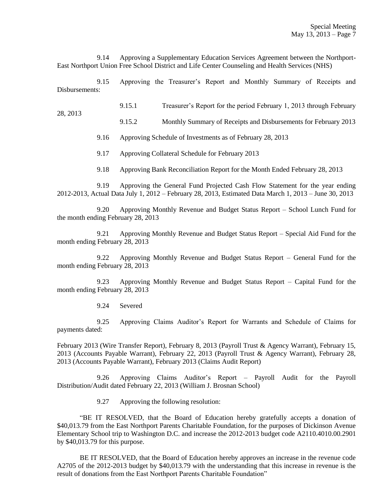9.14 Approving a Supplementary Education Services Agreement between the Northport-East Northport Union Free School District and Life Center Counseling and Health Services (NHS)

9.15 Approving the Treasurer's Report and Monthly Summary of Receipts and Disbursements:

9.15.1 Treasurer's Report for the period February 1, 2013 through February

9.15.2 Monthly Summary of Receipts and Disbursements for February 2013

9.16 Approving Schedule of Investments as of February 28, 2013

9.17 Approving Collateral Schedule for February 2013

9.18 Approving Bank Reconciliation Report for the Month Ended February 28, 2013

9.19 Approving the General Fund Projected Cash Flow Statement for the year ending 2012-2013, Actual Data July 1, 2012 – February 28, 2013, Estimated Data March 1, 2013 – June 30, 2013

9.20 Approving Monthly Revenue and Budget Status Report – School Lunch Fund for the month ending February 28, 2013

9.21 Approving Monthly Revenue and Budget Status Report – Special Aid Fund for the month ending February 28, 2013

9.22 Approving Monthly Revenue and Budget Status Report – General Fund for the month ending February 28, 2013

9.23 Approving Monthly Revenue and Budget Status Report – Capital Fund for the month ending February 28, 2013

9.24 Severed

28, 2013

9.25 Approving Claims Auditor's Report for Warrants and Schedule of Claims for payments dated:

February 2013 (Wire Transfer Report), February 8, 2013 (Payroll Trust & Agency Warrant), February 15, 2013 (Accounts Payable Warrant), February 22, 2013 (Payroll Trust & Agency Warrant), February 28, 2013 (Accounts Payable Warrant), February 2013 (Claims Audit Report)

9.26 Approving Claims Auditor's Report – Payroll Audit for the Payroll Distribution/Audit dated February 22, 2013 (William J. Brosnan School)

9.27 Approving the following resolution:

"BE IT RESOLVED, that the Board of Education hereby gratefully accepts a donation of \$40,013.79 from the East Northport Parents Charitable Foundation, for the purposes of Dickinson Avenue Elementary School trip to Washington D.C. and increase the 2012-2013 budget code A2110.4010.00.2901 by \$40,013.79 for this purpose.

BE IT RESOLVED, that the Board of Education hereby approves an increase in the revenue code A2705 of the 2012-2013 budget by \$40,013.79 with the understanding that this increase in revenue is the result of donations from the East Northport Parents Charitable Foundation"